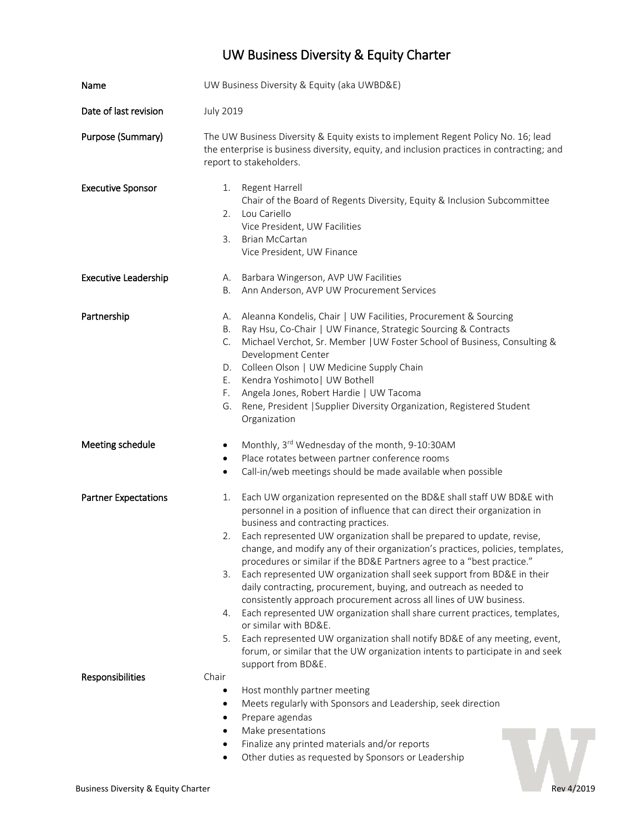# UW Business Diversity & Equity Charter

| Name                        | UW Business Diversity & Equity (aka UWBD&E)                                                                                                                                                                                                                                                                                                                                                                                                                                                                                                                                                                                                                                                                                                                                                                                                                                                                                                                                   |
|-----------------------------|-------------------------------------------------------------------------------------------------------------------------------------------------------------------------------------------------------------------------------------------------------------------------------------------------------------------------------------------------------------------------------------------------------------------------------------------------------------------------------------------------------------------------------------------------------------------------------------------------------------------------------------------------------------------------------------------------------------------------------------------------------------------------------------------------------------------------------------------------------------------------------------------------------------------------------------------------------------------------------|
| Date of last revision       | <b>July 2019</b>                                                                                                                                                                                                                                                                                                                                                                                                                                                                                                                                                                                                                                                                                                                                                                                                                                                                                                                                                              |
| Purpose (Summary)           | The UW Business Diversity & Equity exists to implement Regent Policy No. 16; lead<br>the enterprise is business diversity, equity, and inclusion practices in contracting; and<br>report to stakeholders.                                                                                                                                                                                                                                                                                                                                                                                                                                                                                                                                                                                                                                                                                                                                                                     |
| <b>Executive Sponsor</b>    | Regent Harrell<br>1.<br>Chair of the Board of Regents Diversity, Equity & Inclusion Subcommittee<br>Lou Cariello<br>2.<br>Vice President, UW Facilities<br>3.<br><b>Brian McCartan</b><br>Vice President, UW Finance                                                                                                                                                                                                                                                                                                                                                                                                                                                                                                                                                                                                                                                                                                                                                          |
| <b>Executive Leadership</b> | Barbara Wingerson, AVP UW Facilities<br>А.<br>Ann Anderson, AVP UW Procurement Services<br>В.                                                                                                                                                                                                                                                                                                                                                                                                                                                                                                                                                                                                                                                                                                                                                                                                                                                                                 |
| Partnership                 | Aleanna Kondelis, Chair   UW Facilities, Procurement & Sourcing<br>А.<br>Ray Hsu, Co-Chair   UW Finance, Strategic Sourcing & Contracts<br>В.<br>Michael Verchot, Sr. Member   UW Foster School of Business, Consulting &<br>C.<br>Development Center<br>Colleen Olson   UW Medicine Supply Chain<br>D.<br>Kendra Yoshimoto   UW Bothell<br>Е.<br>Angela Jones, Robert Hardie   UW Tacoma<br>F.<br>Rene, President   Supplier Diversity Organization, Registered Student<br>G.<br>Organization                                                                                                                                                                                                                                                                                                                                                                                                                                                                                |
| Meeting schedule            | Monthly, 3rd Wednesday of the month, 9-10:30AM<br>$\bullet$<br>Place rotates between partner conference rooms<br>$\bullet$<br>Call-in/web meetings should be made available when possible<br>$\bullet$                                                                                                                                                                                                                                                                                                                                                                                                                                                                                                                                                                                                                                                                                                                                                                        |
| <b>Partner Expectations</b> | Each UW organization represented on the BD&E shall staff UW BD&E with<br>1.<br>personnel in a position of influence that can direct their organization in<br>business and contracting practices.<br>Each represented UW organization shall be prepared to update, revise,<br>2.<br>change, and modify any of their organization's practices, policies, templates,<br>procedures or similar if the BD&E Partners agree to a "best practice."<br>Each represented UW organization shall seek support from BD&E in their<br>3.<br>daily contracting, procurement, buying, and outreach as needed to<br>consistently approach procurement across all lines of UW business.<br>Each represented UW organization shall share current practices, templates,<br>4.<br>or similar with BD&E.<br>Each represented UW organization shall notify BD&E of any meeting, event,<br>5.<br>forum, or similar that the UW organization intents to participate in and seek<br>support from BD&E. |
| Responsibilities            | Chair<br>Host monthly partner meeting<br>$\bullet$<br>Meets regularly with Sponsors and Leadership, seek direction<br>$\bullet$<br>Prepare agendas<br>٠<br>Make presentations<br>$\bullet$<br>Finalize any printed materials and/or reports<br>٠<br>Other duties as requested by Sponsors or Leadership                                                                                                                                                                                                                                                                                                                                                                                                                                                                                                                                                                                                                                                                       |